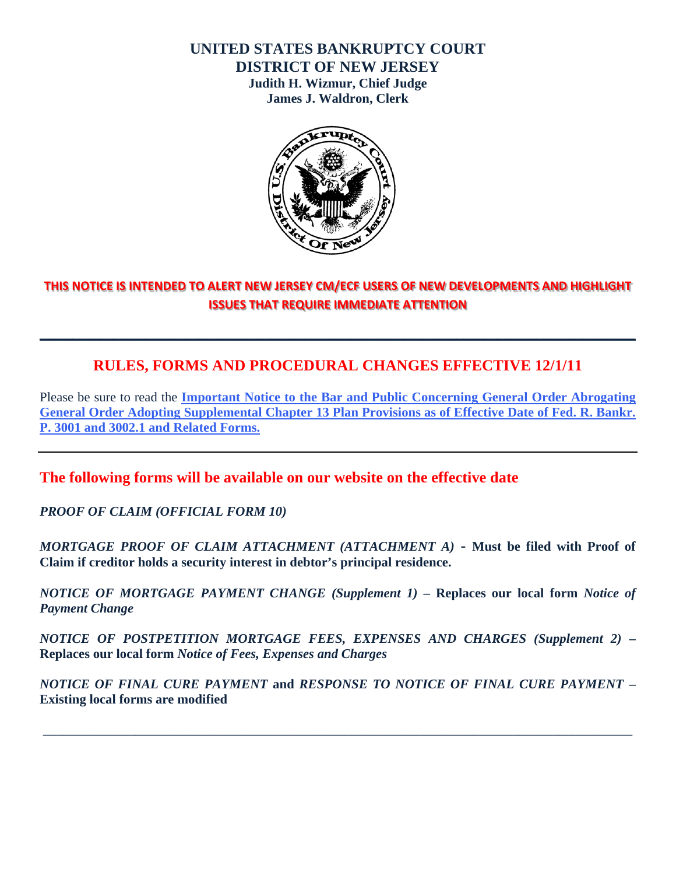#### **UNITED STATES BANKRUPTCY COURT DISTRICT OF NEW JERSEY**

**Judith H. Wizmur, Chief Judge James J. Waldron, Clerk** 



## **THIS NOTICE IS INTENDED TO ALERT NEW JERSEY CM/ECF USERS OF NEW DEVELOPMENTS AND HIGHLIGHT ISSUES THAT REQUIRE IMMEDIATE ATTENTION**

**\_\_\_\_\_\_\_\_\_\_\_\_\_\_\_\_\_\_\_\_\_\_\_\_\_\_\_\_\_\_\_\_\_\_\_\_\_\_\_\_\_\_\_\_\_\_\_\_\_\_\_\_\_\_\_\_\_\_\_\_\_\_\_\_\_\_\_\_\_\_\_\_\_\_\_\_\_\_\_\_\_\_\_\_\_\_\_\_\_\_** 

# **RULES, FORMS AND PROCEDURAL CHANGES EFFECTIVE 12/1/11**

Please be sure to read the **[Important Notice to the Bar and Public Concerning General Order Abrogating](http://www.njb.uscourts.gov/news/important-notice-bar-and-public-concerning-general-order-abrogating-general-order-adopting)  [General Order Adopting Supplemental Chapter 13 Plan Provisions as of Effective Date of Fed. R. Bankr.](http://www.njb.uscourts.gov/news/important-notice-bar-and-public-concerning-general-order-abrogating-general-order-adopting)  P. 3001 and 3002.1 and Related Forms.**

**The following forms will be available on our website on the effective date** 

*PROOF OF CLAIM (OFFICIAL FORM 10)* 

*MORTGAGE PROOF OF CLAIM ATTACHMENT (ATTACHMENT A)* **- Must be filed with Proof of Claim if creditor holds a security interest in debtor's principal residence.** 

*NOTICE OF MORTGAGE PAYMENT CHANGE (Supplement 1)* **– Replaces our local form** *Notice of Payment Change*

*NOTICE OF POSTPETITION MORTGAGE FEES, EXPENSES AND CHARGES (Supplement 2)* **– Replaces our local form** *Notice of Fees, Expenses and Charges*

*NOTICE OF FINAL CURE PAYMENT* **and** *RESPONSE TO NOTICE OF FINAL CURE PAYMENT* **– Existing local forms are modified** 

\_\_\_\_\_\_\_\_\_\_\_\_\_\_\_\_\_\_\_\_\_\_\_\_\_\_\_\_\_\_\_\_\_\_\_\_\_\_\_\_\_\_\_\_\_\_\_\_\_\_\_\_\_\_\_\_\_\_\_\_\_\_\_\_\_\_\_\_\_\_\_\_\_\_\_\_\_\_\_\_\_\_\_\_\_\_\_\_\_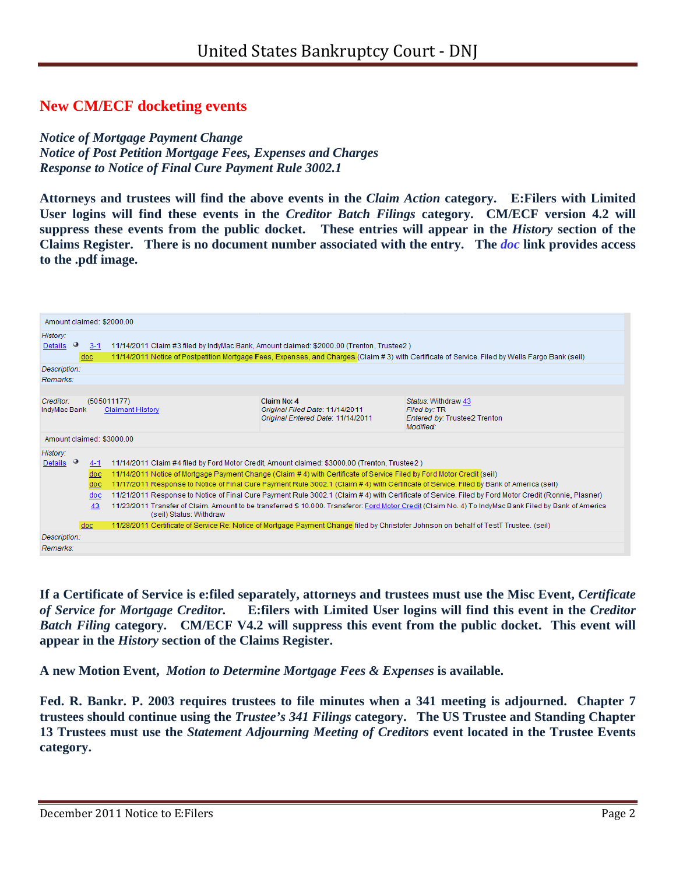### **New CM/ECF docketing events**

*Notice of Mortgage Payment Change Notice of Post Petition Mortgage Fees, Expenses and Charges Response to Notice of Final Cure Payment Rule 3002.1* 

**Attorneys and trustees will find the above events in the** *Claim Action* **category. E:Filers with Limited User logins will find these events in the** *Creditor Batch Filings* **category. CM/ECF version 4.2 will suppress these events from the public docket. These entries will appear in the** *History* **section of the Claims Register. There is no document number associated with the entry. The** *doc* **link provides access to the .pdf image.** 

| Amount claimed: \$2000.00 |         |                                                                                                                                                        |                                                                      |                                              |  |
|---------------------------|---------|--------------------------------------------------------------------------------------------------------------------------------------------------------|----------------------------------------------------------------------|----------------------------------------------|--|
| History:                  |         |                                                                                                                                                        |                                                                      |                                              |  |
| Details $\bullet$         | $3-1$   | 11/14/2011 Claim #3 filed by IndyMac Bank, Amount claimed: \$2000.00 (Trenton, Trustee2)                                                               |                                                                      |                                              |  |
|                           | doc     | 11/14/2011 Notice of Postpetition Mortgage Fees, Expenses, and Charges (Claim # 3) with Certificate of Service. Filed by Wells Fargo Bank (seil)       |                                                                      |                                              |  |
| Description:              |         |                                                                                                                                                        |                                                                      |                                              |  |
| Remarks:                  |         |                                                                                                                                                        |                                                                      |                                              |  |
|                           |         |                                                                                                                                                        |                                                                      |                                              |  |
| Creditor:<br>(505011177)  |         |                                                                                                                                                        | Claim No: 4                                                          | Status: Withdraw 43                          |  |
| IndyMac Bank              |         | <b>Claimant History</b>                                                                                                                                | Original Filed Date: 11/14/2011<br>Original Entered Date: 11/14/2011 | Filed by: TR<br>Entered by: Trustee2 Trenton |  |
|                           |         |                                                                                                                                                        |                                                                      | Modified:                                    |  |
| Amount claimed: \$3000.00 |         |                                                                                                                                                        |                                                                      |                                              |  |
| History:                  |         |                                                                                                                                                        |                                                                      |                                              |  |
| $Details$ $^{\circ}$      | $4 - 1$ | 11/14/2011 Claim #4 filed by Ford Motor Credit, Amount claimed: \$3000.00 (Trenton, Trustee2)                                                          |                                                                      |                                              |  |
|                           | doc     | 11/14/2011 Notice of Mortgage Payment Change (Claim # 4) with Certificate of Service Filed by Ford Motor Credit (seil)                                 |                                                                      |                                              |  |
|                           | doc     | 11/17/2011 Response to Notice of Final Cure Payment Rule 3002.1 (Claim #4) with Certificate of Service. Filed by Bank of America (seil)                |                                                                      |                                              |  |
|                           | doc     | 11/21/2011 Response to Notice of Final Cure Payment Rule 3002.1 (Claim # 4) with Certificate of Service. Filed by Ford Motor Credit (Ronnie, Plasner)  |                                                                      |                                              |  |
|                           | 43      | 11/23/2011 Transfer of Claim. Amount to be transferred \$ 10.000. Transferor: Ford Motor Credit (Claim No. 4) To IndyMac Bank Filed by Bank of America |                                                                      |                                              |  |
|                           |         | (seil) Status: Withdraw                                                                                                                                |                                                                      |                                              |  |
|                           | doc.    | 11/28/2011 Certificate of Service Re: Notice of Mortgage Payment Change filed by Christofer Johnson on behalf of TestT Trustee. (seil)                 |                                                                      |                                              |  |
| Description:              |         |                                                                                                                                                        |                                                                      |                                              |  |
|                           |         |                                                                                                                                                        |                                                                      |                                              |  |

**If a Certificate of Service is e:filed separately, attorneys and trustees must use the Misc Event,** *Certificate of Service for Mortgage Creditor.* **E:filers with Limited User logins will find this event in the** *Creditor Batch Filing* **category. CM/ECF V4.2 will suppress this event from the public docket. This event will appear in the** *History* **section of the Claims Register.** 

**A new Motion Event,** *Motion to Determine Mortgage Fees & Expenses* **is available.**

**Fed. R. Bankr. P. 2003 requires trustees to file minutes when a 341 meeting is adjourned. Chapter 7 trustees should continue using the** *Trustee's 341 Filings* **category. The US Trustee and Standing Chapter 13 Trustees must use the** *Statement Adjourning Meeting of Creditors* **event located in the Trustee Events category.**